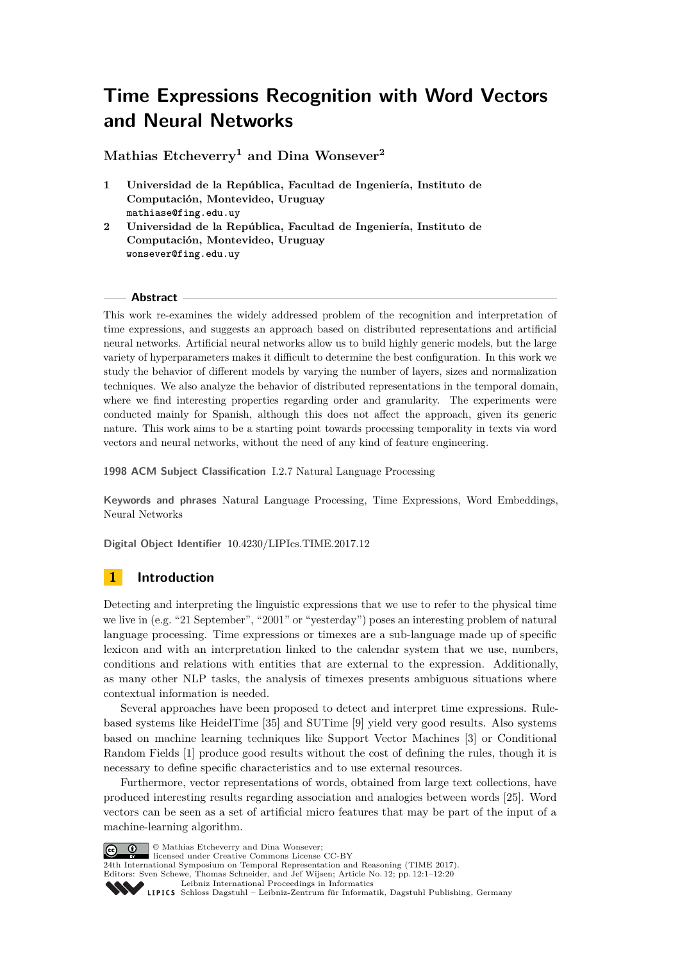# **Time Expressions Recognition with Word Vectors and Neural Networks**

**Mathias Etcheverry<sup>1</sup> and Dina Wonsever<sup>2</sup>**

- **1 Universidad de la República, Facultad de Ingeniería, Instituto de Computación, Montevideo, Uruguay mathiase@fing.edu.uy**
- **2 Universidad de la República, Facultad de Ingeniería, Instituto de Computación, Montevideo, Uruguay wonsever@fing.edu.uy**

### **Abstract**

This work re-examines the widely addressed problem of the recognition and interpretation of time expressions, and suggests an approach based on distributed representations and artificial neural networks. Artificial neural networks allow us to build highly generic models, but the large variety of hyperparameters makes it difficult to determine the best configuration. In this work we study the behavior of different models by varying the number of layers, sizes and normalization techniques. We also analyze the behavior of distributed representations in the temporal domain, where we find interesting properties regarding order and granularity. The experiments were conducted mainly for Spanish, although this does not affect the approach, given its generic nature. This work aims to be a starting point towards processing temporality in texts via word vectors and neural networks, without the need of any kind of feature engineering.

**1998 ACM Subject Classification** I.2.7 Natural Language Processing

**Keywords and phrases** Natural Language Processing, Time Expressions, Word Embeddings, Neural Networks

**Digital Object Identifier** [10.4230/LIPIcs.TIME.2017.12](http://dx.doi.org/10.4230/LIPIcs.TIME.2017.12)

# **1 Introduction**

Detecting and interpreting the linguistic expressions that we use to refer to the physical time we live in (e.g. "21 September", "2001" or "yesterday") poses an interesting problem of natural language processing. Time expressions or timexes are a sub-language made up of specific lexicon and with an interpretation linked to the calendar system that we use, numbers, conditions and relations with entities that are external to the expression. Additionally, as many other NLP tasks, the analysis of timexes presents ambiguous situations where contextual information is needed.

Several approaches have been proposed to detect and interpret time expressions. Rulebased systems like HeidelTime [\[35\]](#page-17-0) and SUTime [\[9\]](#page-15-0) yield very good results. Also systems based on machine learning techniques like Support Vector Machines [\[3\]](#page-14-0) or Conditional Random Fields [\[1\]](#page-14-1) produce good results without the cost of defining the rules, though it is necessary to define specific characteristics and to use external resources.

Furthermore, vector representations of words, obtained from large text collections, have produced interesting results regarding association and analogies between words [\[25\]](#page-16-0). Word vectors can be seen as a set of artificial micro features that may be part of the input of a machine-learning algorithm.



© Mathias Etcheverry and Dina Wonsever;

licensed under Creative Commons License CC-BY

24th International Symposium on Temporal Representation and Reasoning (TIME 2017). Editors: Sven Schewe, Thomas Schneider, and Jef Wijsen; Article No. 12; pp. 12:1–12[:20](#page-19-0)

[Leibniz International Proceedings in Informatics](http://www.dagstuhl.de/lipics/)

[Schloss Dagstuhl – Leibniz-Zentrum für Informatik, Dagstuhl Publishing, Germany](http://www.dagstuhl.de)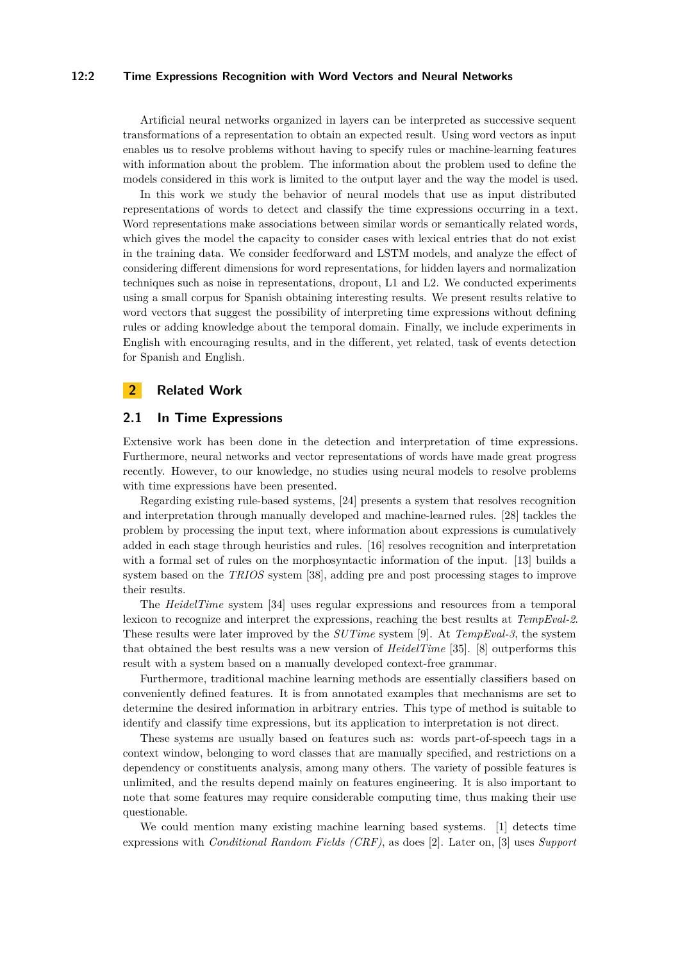### **12:2 Time Expressions Recognition with Word Vectors and Neural Networks**

Artificial neural networks organized in layers can be interpreted as successive sequent transformations of a representation to obtain an expected result. Using word vectors as input enables us to resolve problems without having to specify rules or machine-learning features with information about the problem. The information about the problem used to define the models considered in this work is limited to the output layer and the way the model is used.

In this work we study the behavior of neural models that use as input distributed representations of words to detect and classify the time expressions occurring in a text. Word representations make associations between similar words or semantically related words, which gives the model the capacity to consider cases with lexical entries that do not exist in the training data. We consider feedforward and LSTM models, and analyze the effect of considering different dimensions for word representations, for hidden layers and normalization techniques such as noise in representations, dropout, L1 and L2. We conducted experiments using a small corpus for Spanish obtaining interesting results. We present results relative to word vectors that suggest the possibility of interpreting time expressions without defining rules or adding knowledge about the temporal domain. Finally, we include experiments in English with encouraging results, and in the different, yet related, task of events detection for Spanish and English.

### **2 Related Work**

### **2.1 In Time Expressions**

Extensive work has been done in the detection and interpretation of time expressions. Furthermore, neural networks and vector representations of words have made great progress recently. However, to our knowledge, no studies using neural models to resolve problems with time expressions have been presented.

Regarding existing rule-based systems, [\[24\]](#page-16-1) presents a system that resolves recognition and interpretation through manually developed and machine-learned rules. [\[28\]](#page-16-2) tackles the problem by processing the input text, where information about expressions is cumulatively added in each stage through heuristics and rules. [\[16\]](#page-15-1) resolves recognition and interpretation with a formal set of rules on the morphosyntactic information of the input. [\[13\]](#page-15-2) builds a system based on the *TRIOS* system [\[38\]](#page-17-1), adding pre and post processing stages to improve their results.

The *HeidelTime* system [\[34\]](#page-16-3) uses regular expressions and resources from a temporal lexicon to recognize and interpret the expressions, reaching the best results at *TempEval-2*. These results were later improved by the *SUTime* system [\[9\]](#page-15-0). At *TempEval-3*, the system that obtained the best results was a new version of *HeidelTime* [\[35\]](#page-17-0). [\[8\]](#page-15-3) outperforms this result with a system based on a manually developed context-free grammar.

Furthermore, traditional machine learning methods are essentially classifiers based on conveniently defined features. It is from annotated examples that mechanisms are set to determine the desired information in arbitrary entries. This type of method is suitable to identify and classify time expressions, but its application to interpretation is not direct.

These systems are usually based on features such as: words part-of-speech tags in a context window, belonging to word classes that are manually specified, and restrictions on a dependency or constituents analysis, among many others. The variety of possible features is unlimited, and the results depend mainly on features engineering. It is also important to note that some features may require considerable computing time, thus making their use questionable.

We could mention many existing machine learning based systems. [\[1\]](#page-14-1) detects time expressions with *Conditional Random Fields (CRF)*, as does [\[2\]](#page-14-2). Later on, [\[3\]](#page-14-0) uses *Support*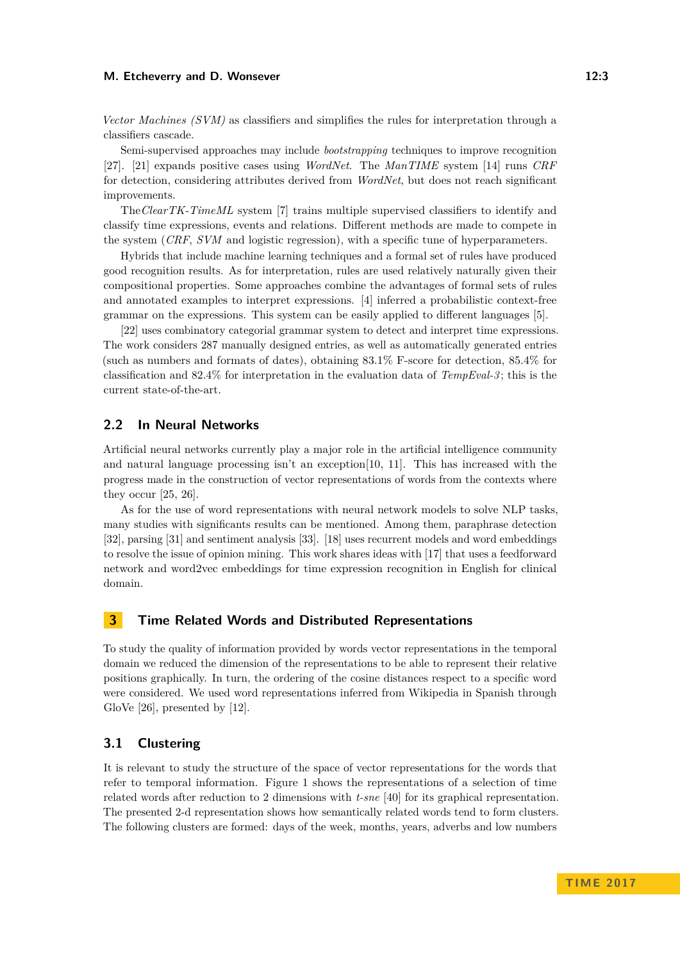#### **M. Etcheverry and D. Wonsever 12:3** 12:3

*Vector Machines (SVM)* as classifiers and simplifies the rules for interpretation through a classifiers cascade.

Semi-supervised approaches may include *bootstrapping* techniques to improve recognition [\[27\]](#page-16-4). [\[21\]](#page-16-5) expands positive cases using *WordNet*. The *ManTIME* system [\[14\]](#page-15-4) runs *CRF* for detection, considering attributes derived from *WordNet*, but does not reach significant improvements.

The*ClearTK-TimeML* system [\[7\]](#page-15-5) trains multiple supervised classifiers to identify and classify time expressions, events and relations. Different methods are made to compete in the system (*CRF*, *SVM* and logistic regression), with a specific tune of hyperparameters.

Hybrids that include machine learning techniques and a formal set of rules have produced good recognition results. As for interpretation, rules are used relatively naturally given their compositional properties. Some approaches combine the advantages of formal sets of rules and annotated examples to interpret expressions. [\[4\]](#page-14-3) inferred a probabilistic context-free grammar on the expressions. This system can be easily applied to different languages [\[5\]](#page-14-4).

[\[22\]](#page-16-6) uses combinatory categorial grammar system to detect and interpret time expressions. The work considers 287 manually designed entries, as well as automatically generated entries (such as numbers and formats of dates), obtaining 83*.*1% F-score for detection, 85*.*4% for classification and 82*.*4% for interpretation in the evaluation data of *TempEval-3* ; this is the current state-of-the-art.

### **2.2 In Neural Networks**

Artificial neural networks currently play a major role in the artificial intelligence community and natural language processing isn't an exception[\[10,](#page-15-6) [11\]](#page-15-7). This has increased with the progress made in the construction of vector representations of words from the contexts where they occur [\[25,](#page-16-0) [26\]](#page-16-7).

As for the use of word representations with neural network models to solve NLP tasks, many studies with significants results can be mentioned. Among them, paraphrase detection [\[32\]](#page-16-8), parsing [\[31\]](#page-16-9) and sentiment analysis [\[33\]](#page-16-10). [\[18\]](#page-15-8) uses recurrent models and word embeddings to resolve the issue of opinion mining. This work shares ideas with [\[17\]](#page-15-9) that uses a feedforward network and word2vec embeddings for time expression recognition in English for clinical domain.

# **3 Time Related Words and Distributed Representations**

To study the quality of information provided by words vector representations in the temporal domain we reduced the dimension of the representations to be able to represent their relative positions graphically. In turn, the ordering of the cosine distances respect to a specific word were considered. We used word representations inferred from Wikipedia in Spanish through GloVe [\[26\]](#page-16-7), presented by [\[12\]](#page-15-10).

### **3.1 Clustering**

It is relevant to study the structure of the space of vector representations for the words that refer to temporal information. Figure [1](#page-3-0) shows the representations of a selection of time related words after reduction to 2 dimensions with *t-sne* [\[40\]](#page-17-2) for its graphical representation. The presented 2-d representation shows how semantically related words tend to form clusters. The following clusters are formed: days of the week, months, years, adverbs and low numbers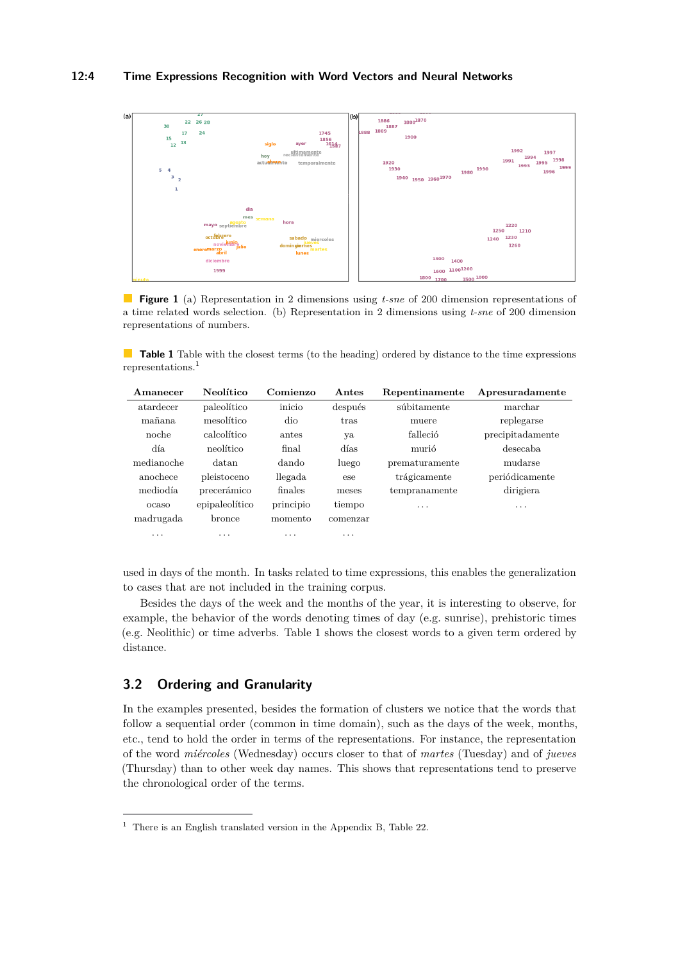<span id="page-3-0"></span>

**Figure 1** (a) Representation in 2 dimensions using *t-sne* of 200 dimension representations of a time related words selection. (b) Representation in 2 dimensions using *t-sne* of 200 dimension representations of numbers.

<span id="page-3-2"></span>**Table 1** Table with the closest terms (to the heading) ordered by distance to the time expressions representations.[1](#page-3-1)

| Amanecer   | Neolítico      | Comienzo  | Antes    | Repentinamente | Apresuradamente  |
|------------|----------------|-----------|----------|----------------|------------------|
| atardecer  | paleolítico    | inicio    | después  | súbitamente    | marchar          |
| mañana     | mesolítico     | dio       | tras     | muere          | replegarse       |
| noche      | calcolítico    | antes     | уa       | falleció       | precipitadamente |
| día        | neolítico      | final     | días     | murió          | desecaba         |
| medianoche | datan          | dando     | luego    | prematuramente | mudarse          |
| anochece   | pleistoceno    | llegada   | ese      | trágicamente   | periódicamente   |
| mediodía   | precerámico    | finales   | meses    | tempranamente  | dirigiera        |
| ocaso      | epipaleolítico | principio | tiempo   | .              | .                |
| madrugada  | bronce         | momento   | comenzar |                |                  |
| .          | .              | .         | .        |                |                  |

used in days of the month. In tasks related to time expressions, this enables the generalization to cases that are not included in the training corpus.

Besides the days of the week and the months of the year, it is interesting to observe, for example, the behavior of the words denoting times of day (e.g. sunrise), prehistoric times (e.g. Neolithic) or time adverbs. Table [1](#page-3-2) shows the closest words to a given term ordered by distance.

# **3.2 Ordering and Granularity**

In the examples presented, besides the formation of clusters we notice that the words that follow a sequential order (common in time domain), such as the days of the week, months, etc., tend to hold the order in terms of the representations. For instance, the representation of the word *miércoles* (Wednesday) occurs closer to that of *martes* (Tuesday) and of *jueves* (Thursday) than to other week day names. This shows that representations tend to preserve the chronological order of the terms.

<span id="page-3-1"></span> $^{\rm 1}$  There is an English translated version in the Appendix [B,](#page-19-1) Table [22.](#page-19-2)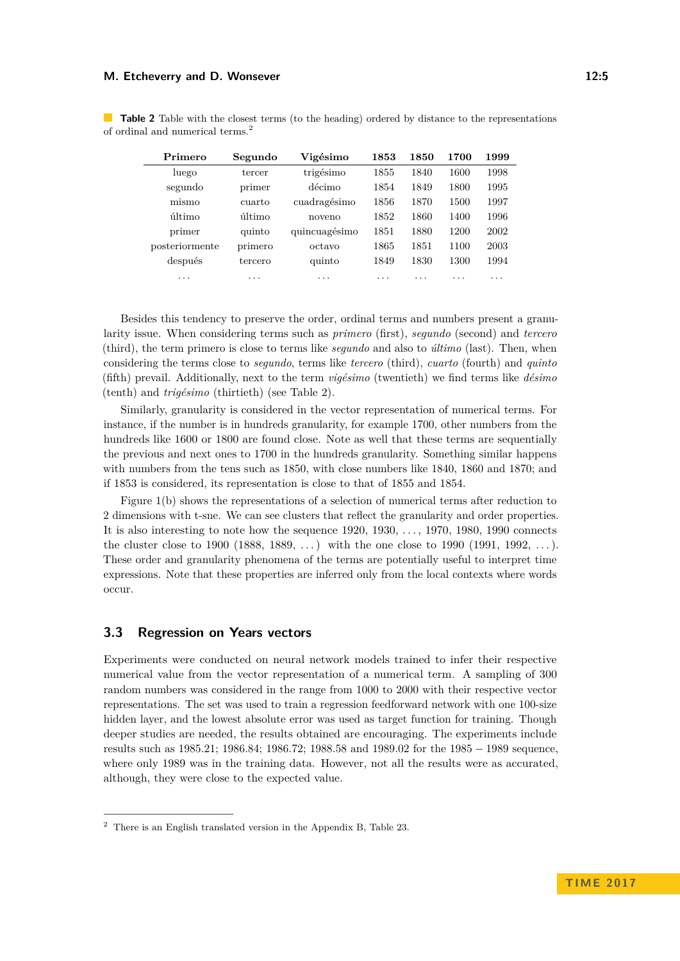| Primero                 | Segundo | Vigésimo      | 1853 | 1850 | 1700 | 1999 |
|-------------------------|---------|---------------|------|------|------|------|
| luego                   | tercer  | trigésimo     | 1855 | 1840 | 1600 | 1998 |
| segundo                 | primer  | décimo        | 1854 | 1849 | 1800 | 1995 |
| mismo                   | cuarto  | cuadragésimo  | 1856 | 1870 | 1500 | 1997 |
| último                  | último  | noveno        | 1852 | 1860 | 1400 | 1996 |
| primer                  | quinto  | quincuagésimo | 1851 | 1880 | 1200 | 2002 |
| posteriormente          | primero | octavo        | 1865 | 1851 | 1100 | 2003 |
| después                 | tercero | quinto        | 1849 | 1830 | 1300 | 1994 |
| $\cdot$ $\cdot$ $\cdot$ | .       | .             | .    | .    | .    | .    |

<span id="page-4-1"></span>**Table 2** Table with the closest terms (to the heading) ordered by distance to the representations of ordinal and numerical terms.[2](#page-4-0)

Besides this tendency to preserve the order, ordinal terms and numbers present a granularity issue. When considering terms such as *primero* (first), *segundo* (second) and *tercero* (third), the term primero is close to terms like *segundo* and also to *último* (last). Then, when considering the terms close to *segundo*, terms like *tercero* (third), *cuarto* (fourth) and *quinto* (fifth) prevail. Additionally, next to the term *vigésimo* (twentieth) we find terms like *désimo* (tenth) and *trigésimo* (thirtieth) (see Table [2\)](#page-4-1).

Similarly, granularity is considered in the vector representation of numerical terms. For instance, if the number is in hundreds granularity, for example 1700, other numbers from the hundreds like 1600 or 1800 are found close. Note as well that these terms are sequentially the previous and next ones to 1700 in the hundreds granularity. Something similar happens with numbers from the tens such as 1850, with close numbers like 1840, 1860 and 1870; and if 1853 is considered, its representation is close to that of 1855 and 1854.

Figure [1\(](#page-3-0)b) shows the representations of a selection of numerical terms after reduction to 2 dimensions with t-sne. We can see clusters that reflect the granularity and order properties. It is also interesting to note how the sequence 1920, 1930, . . . , 1970, 1980, 1990 connects the cluster close to 1900 (1888, 1889,  $\dots$ ) with the one close to 1990 (1991, 1992,  $\dots$ ). These order and granularity phenomena of the terms are potentially useful to interpret time expressions. Note that these properties are inferred only from the local contexts where words occur.

### **3.3 Regression on Years vectors**

Experiments were conducted on neural network models trained to infer their respective numerical value from the vector representation of a numerical term. A sampling of 300 random numbers was considered in the range from 1000 to 2000 with their respective vector representations. The set was used to train a regression feedforward network with one 100-size hidden layer, and the lowest absolute error was used as target function for training. Though deeper studies are needed, the results obtained are encouraging. The experiments include results such as 1985*.*21; 1986*.*84; 1986*.*72; 1988*.*58 and 1989*.*02 for the 1985 − 1989 sequence, where only 1989 was in the training data. However, not all the results were as accurated, although, they were close to the expected value.

<span id="page-4-0"></span><sup>2</sup> There is an English translated version in the Appendix [B,](#page-19-1) Table [23.](#page-19-3)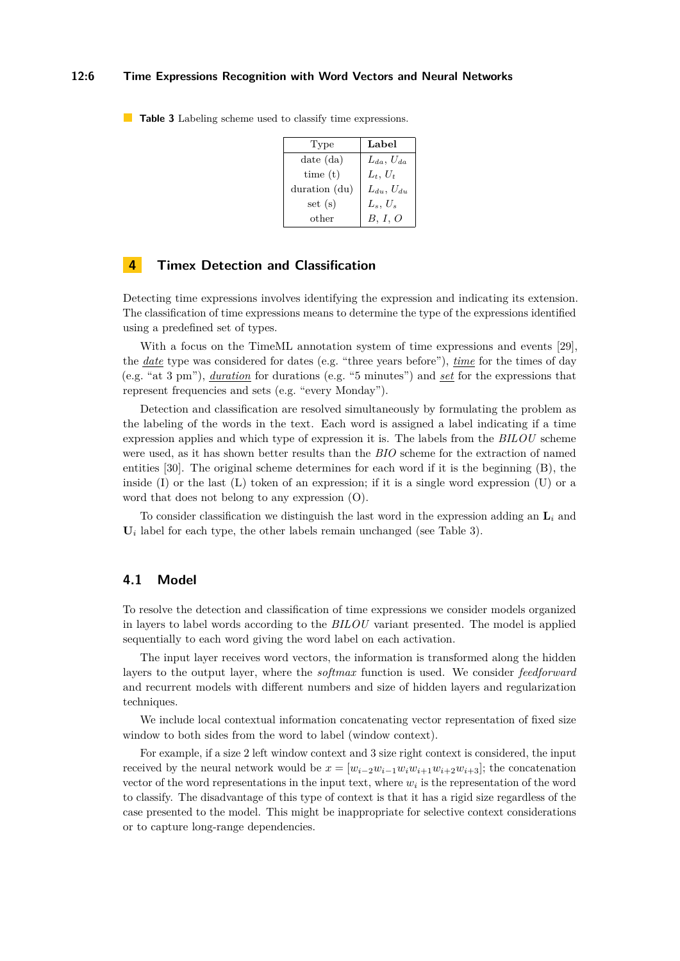### **12:6 Time Expressions Recognition with Word Vectors and Neural Networks**

| Type          | Label               |
|---------------|---------------------|
| $date$ $(da)$ | $L_{da}$ , $U_{da}$ |
| time(t)       | $L_t$ , $U_t$       |
| duration (du) | $L_{du}$ , $U_{du}$ |
| set(s)        | $L_s, U_s$          |
| other         | B, I, O             |

<span id="page-5-0"></span>**Table 3** Labeling scheme used to classify time expressions.

### **4 Timex Detection and Classification**

Detecting time expressions involves identifying the expression and indicating its extension. The classification of time expressions means to determine the type of the expressions identified using a predefined set of types.

With a focus on the TimeML annotation system of time expressions and events [\[29\]](#page-16-11), the *date* type was considered for dates (e.g. "three years before"), *time* for the times of day (e.g. "at 3 pm"), *duration* for durations (e.g. "5 minutes") and *set* for the expressions that represent frequencies and sets (e.g. "every Monday").

Detection and classification are resolved simultaneously by formulating the problem as the labeling of the words in the text. Each word is assigned a label indicating if a time expression applies and which type of expression it is. The labels from the *BILOU* scheme were used, as it has shown better results than the *BIO* scheme for the extraction of named entities [\[30\]](#page-16-12). The original scheme determines for each word if it is the beginning (B), the inside  $(I)$  or the last  $(I)$  token of an expression; if it is a single word expression  $(U)$  or a word that does not belong to any expression (O).

To consider classification we distinguish the last word in the expression adding an **L***<sup>i</sup>* and  $U_i$  label for each type, the other labels remain unchanged (see Table [3\)](#page-5-0).

# **4.1 Model**

To resolve the detection and classification of time expressions we consider models organized in layers to label words according to the *BILOU* variant presented. The model is applied sequentially to each word giving the word label on each activation.

The input layer receives word vectors, the information is transformed along the hidden layers to the output layer, where the *softmax* function is used. We consider *feedforward* and recurrent models with different numbers and size of hidden layers and regularization techniques.

We include local contextual information concatenating vector representation of fixed size window to both sides from the word to label (window context).

For example, if a size 2 left window context and 3 size right context is considered, the input received by the neural network would be  $x = [w_{i-2}w_{i-1}w_iw_{i+1}w_{i+2}w_{i+3}]$ ; the concatenation vector of the word representations in the input text, where  $w_i$  is the representation of the word to classify. The disadvantage of this type of context is that it has a rigid size regardless of the case presented to the model. This might be inappropriate for selective context considerations or to capture long-range dependencies.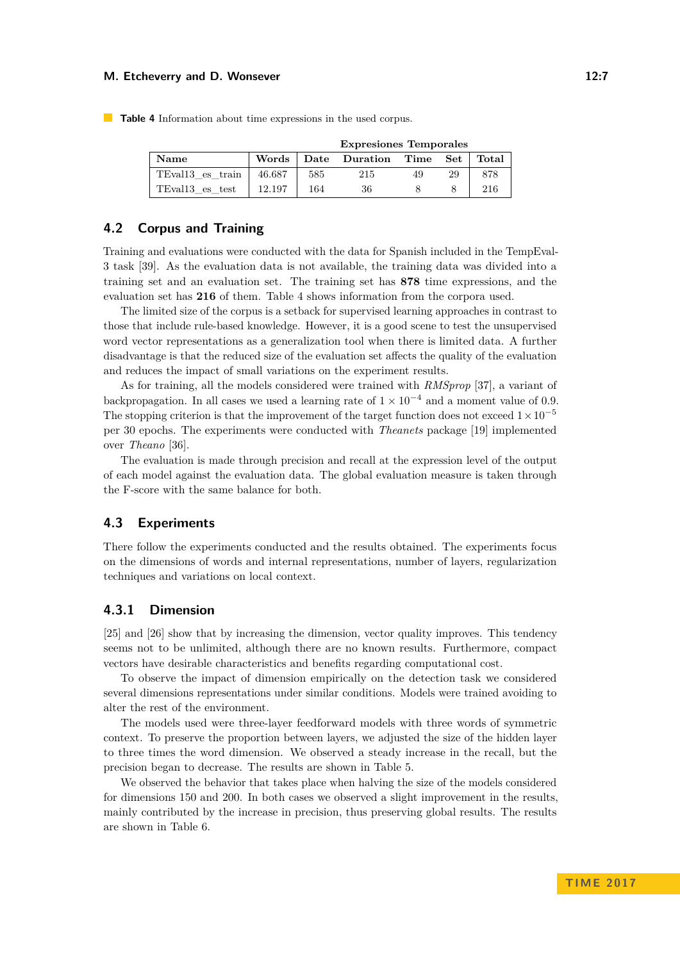#### **M. Etcheverry and D. Wonsever 22:7** 2:7

|                              | <b>Expresiones Temporales</b> |     |                              |    |    |       |
|------------------------------|-------------------------------|-----|------------------------------|----|----|-------|
| Name                         |                               |     | Words Date Duration Time Set |    |    | Total |
| TEval <sub>13</sub> es train | 46.687                        | 585 | 215                          | 49 | 29 | 878   |
| TEval13_es_test              | 12.197                        | 164 | 36                           |    |    | 216   |

<span id="page-6-0"></span>**Table 4** Information about time expressions in the used corpus.

# **4.2 Corpus and Training**

Training and evaluations were conducted with the data for Spanish included in the TempEval-3 task [\[39\]](#page-17-3). As the evaluation data is not available, the training data was divided into a training set and an evaluation set. The training set has **878** time expressions, and the evaluation set has **216** of them. Table [4](#page-6-0) shows information from the corpora used.

The limited size of the corpus is a setback for supervised learning approaches in contrast to those that include rule-based knowledge. However, it is a good scene to test the unsupervised word vector representations as a generalization tool when there is limited data. A further disadvantage is that the reduced size of the evaluation set affects the quality of the evaluation and reduces the impact of small variations on the experiment results.

As for training, all the models considered were trained with *RMSprop* [\[37\]](#page-17-4), a variant of backpropagation. In all cases we used a learning rate of  $1 \times 10^{-4}$  and a moment value of 0.9. The stopping criterion is that the improvement of the target function does not exceed  $1 \times 10^{-5}$ per 30 epochs. The experiments were conducted with *Theanets* package [\[19\]](#page-15-11) implemented over *Theano* [\[36\]](#page-17-5).

The evaluation is made through precision and recall at the expression level of the output of each model against the evaluation data. The global evaluation measure is taken through the F-score with the same balance for both.

# **4.3 Experiments**

There follow the experiments conducted and the results obtained. The experiments focus on the dimensions of words and internal representations, number of layers, regularization techniques and variations on local context.

# **4.3.1 Dimension**

[\[25\]](#page-16-0) and [\[26\]](#page-16-7) show that by increasing the dimension, vector quality improves. This tendency seems not to be unlimited, although there are no known results. Furthermore, compact vectors have desirable characteristics and benefits regarding computational cost.

To observe the impact of dimension empirically on the detection task we considered several dimensions representations under similar conditions. Models were trained avoiding to alter the rest of the environment.

The models used were three-layer feedforward models with three words of symmetric context. To preserve the proportion between layers, we adjusted the size of the hidden layer to three times the word dimension. We observed a steady increase in the recall, but the precision began to decrease. The results are shown in Table [5.](#page-7-0)

We observed the behavior that takes place when halving the size of the models considered for dimensions 150 and 200. In both cases we observed a slight improvement in the results, mainly contributed by the increase in precision, thus preserving global results. The results are shown in Table [6.](#page-7-1)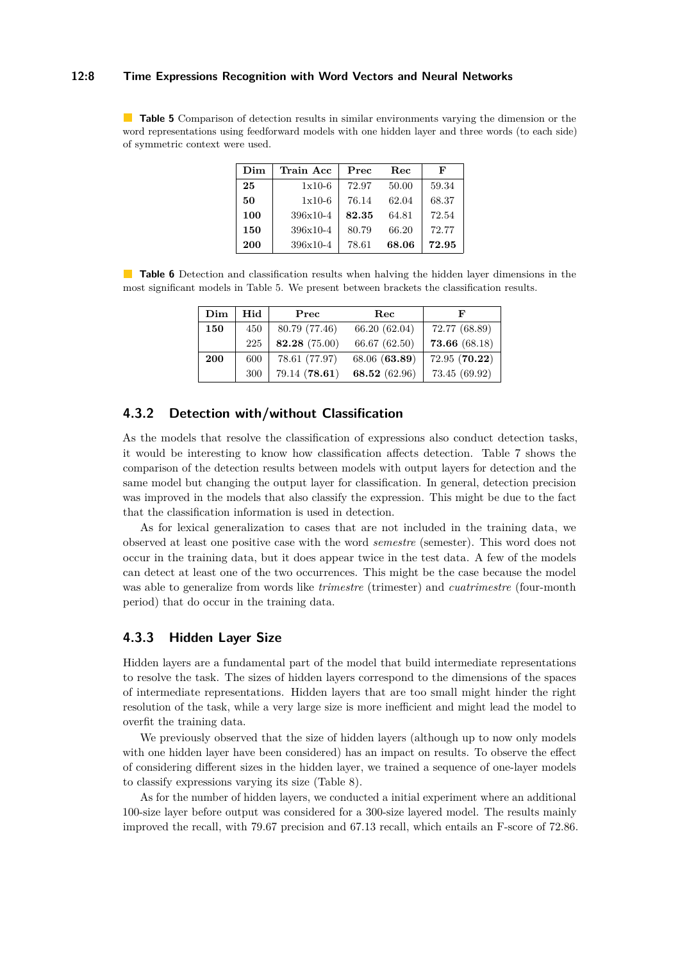### **12:8 Time Expressions Recognition with Word Vectors and Neural Networks**

<span id="page-7-0"></span>**Table 5** Comparison of detection results in similar environments varying the dimension or the word representations using feedforward models with one hidden layer and three words (to each side) of symmetric context were used.

| Dim | Train Acc  | Prec  | <b>Rec</b> | F     |
|-----|------------|-------|------------|-------|
| 25  | $1x10-6$   | 72.97 | 50.00      | 59.34 |
| 50  | $1x10-6$   | 76.14 | 62.04      | 68.37 |
| 100 | $396x10-4$ | 82.35 | 64.81      | 72.54 |
| 150 | 396x10-4   | 80.79 | 66.20      | 72.77 |
| 200 | $396x10-4$ | 78.61 | 68.06      | 72.95 |

<span id="page-7-1"></span>**Table 6** Detection and classification results when halving the hidden layer dimensions in the most significant models in Table [5.](#page-7-0) We present between brackets the classification results.

| Dim | Hid | $\operatorname{Prec}$ | $\operatorname{Rec}$ | F             |
|-----|-----|-----------------------|----------------------|---------------|
| 150 | 450 | 80.79 (77.46)         | 66.20 (62.04)        | 72.77 (68.89) |
|     | 225 | 82.28 (75.00)         | 66.67 (62.50)        | 73.66 (68.18) |
| 200 | 600 | 78.61 (77.97)         | 68.06 (63.89)        | 72.95 (70.22) |
|     | 300 | 79.14 (78.61)         | 68.52 (62.96)        | 73.45 (69.92) |

# **4.3.2 Detection with/without Classification**

As the models that resolve the classification of expressions also conduct detection tasks, it would be interesting to know how classification affects detection. Table [7](#page-8-0) shows the comparison of the detection results between models with output layers for detection and the same model but changing the output layer for classification. In general, detection precision was improved in the models that also classify the expression. This might be due to the fact that the classification information is used in detection.

As for lexical generalization to cases that are not included in the training data, we observed at least one positive case with the word *semestre* (semester). This word does not occur in the training data, but it does appear twice in the test data. A few of the models can detect at least one of the two occurrences. This might be the case because the model was able to generalize from words like *trimestre* (trimester) and *cuatrimestre* (four-month period) that do occur in the training data.

# **4.3.3 Hidden Layer Size**

Hidden layers are a fundamental part of the model that build intermediate representations to resolve the task. The sizes of hidden layers correspond to the dimensions of the spaces of intermediate representations. Hidden layers that are too small might hinder the right resolution of the task, while a very large size is more inefficient and might lead the model to overfit the training data.

We previously observed that the size of hidden layers (although up to now only models with one hidden layer have been considered) has an impact on results. To observe the effect of considering different sizes in the hidden layer, we trained a sequence of one-layer models to classify expressions varying its size (Table [8\)](#page-8-1).

As for the number of hidden layers, we conducted a initial experiment where an additional 100-size layer before output was considered for a 300-size layered model. The results mainly improved the recall, with 79*.*67 precision and 67*.*13 recall, which entails an F-score of 72*.*86.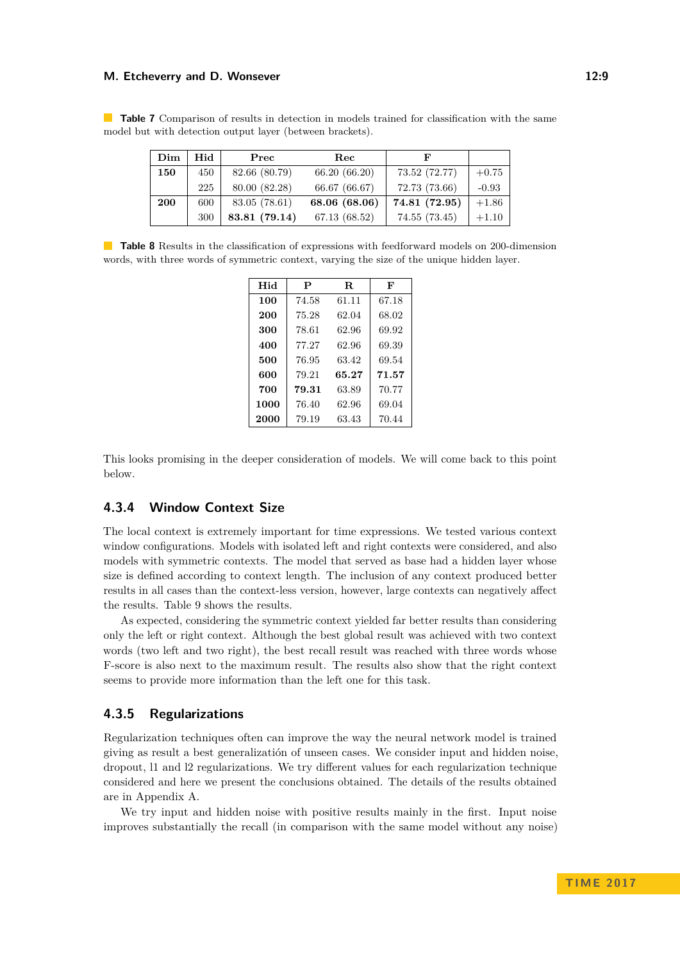#### **M. Etcheverry and D. Wonsever 12:9 12:9**

<span id="page-8-0"></span>**Table 7** Comparison of results in detection in models trained for classification with the same model but with detection output layer (between brackets).

| Dim | Hid | Prec          | Rec           | F             |         |
|-----|-----|---------------|---------------|---------------|---------|
| 150 | 450 | 82.66 (80.79) | 66.20 (66.20) | 73.52 (72.77) | $+0.75$ |
|     | 225 | 80.00 (82.28) | 66.67 (66.67) | 72.73 (73.66) | $-0.93$ |
| 200 | 600 | 83.05 (78.61) | 68.06 (68.06) | 74.81 (72.95) | $+1.86$ |
|     | 300 | 83.81 (79.14) | 67.13 (68.52) | 74.55 (73.45) | $+1.10$ |

<span id="page-8-1"></span>**Table 8** Results in the classification of expressions with feedforward models on 200-dimension words, with three words of symmetric context, varying the size of the unique hidden layer.

| Hid  | P     | R.    | F     |
|------|-------|-------|-------|
| 100  | 74.58 | 61.11 | 67.18 |
| 200  | 75.28 | 62.04 | 68.02 |
| 300  | 78.61 | 62.96 | 69.92 |
| 400  | 77.27 | 62.96 | 69.39 |
| 500  | 76.95 | 63.42 | 69.54 |
| 600  | 79.21 | 65.27 | 71.57 |
| 700  | 79.31 | 63.89 | 70.77 |
| 1000 | 76.40 | 62.96 | 69.04 |
| 2000 | 79.19 | 63.43 | 70.44 |

This looks promising in the deeper consideration of models. We will come back to this point below.

# **4.3.4 Window Context Size**

The local context is extremely important for time expressions. We tested various context window configurations. Models with isolated left and right contexts were considered, and also models with symmetric contexts. The model that served as base had a hidden layer whose size is defined according to context length. The inclusion of any context produced better results in all cases than the context-less version, however, large contexts can negatively affect the results. Table [9](#page-9-0) shows the results.

As expected, considering the symmetric context yielded far better results than considering only the left or right context. Although the best global result was achieved with two context words (two left and two right), the best recall result was reached with three words whose F-score is also next to the maximum result. The results also show that the right context seems to provide more information than the left one for this task.

### **4.3.5 Regularizations**

Regularization techniques often can improve the way the neural network model is trained giving as result a best generalizatión of unseen cases. We consider input and hidden noise, dropout, l1 and l2 regularizations. We try different values for each regularization technique considered and here we present the conclusions obtained. The details of the results obtained are in Appendix [A.](#page-17-6)

We try input and hidden noise with positive results mainly in the first. Input noise improves substantially the recall (in comparison with the same model without any noise)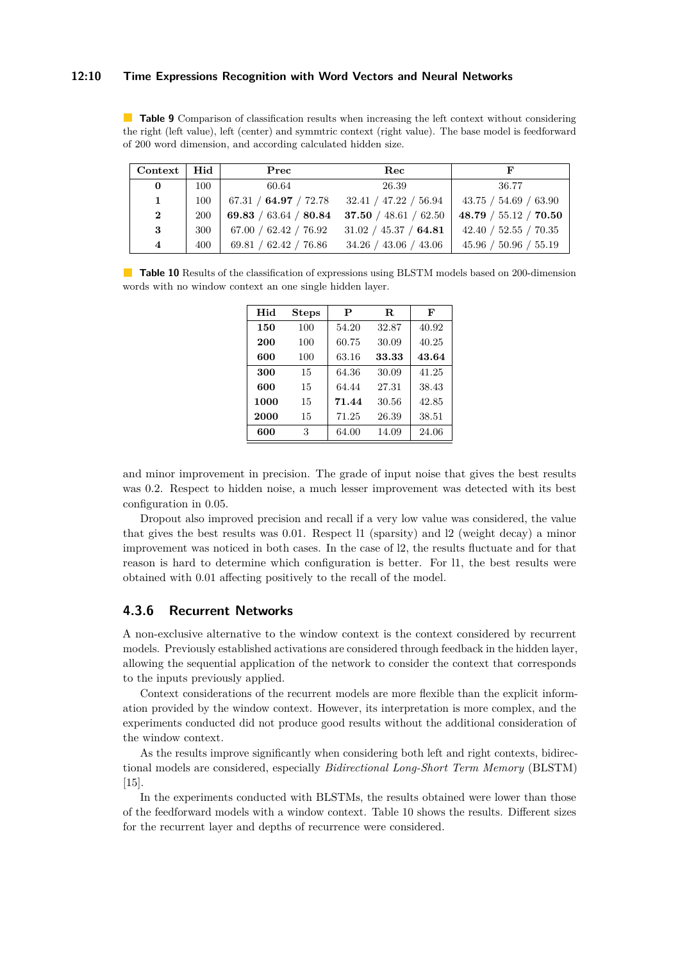### **12:10 Time Expressions Recognition with Word Vectors and Neural Networks**

<span id="page-9-0"></span>**Table 9** Comparison of classification results when increasing the left context without considering the right (left value), left (center) and symmtric context (right value). The base model is feedforward of 200 word dimension, and according calculated hidden size.

| $Context \mid Hid \mid$ |            | Prec  | Rec                                                                 |                       |
|-------------------------|------------|-------|---------------------------------------------------------------------|-----------------------|
| $\bf{0}$                | 100        | 60.64 | 26.39                                                               | 36.77                 |
| $\mathbf{1}$            | 100        |       | 67.31 / 64.97 / 72.78 32.41 / 47.22 / 56.94   43.75 / 54.69 / 63.90 |                       |
| $\mathbf{2}$            | <b>200</b> |       | 69.83 / 63.64 / 80.84 37.50 / 48.61 / 62.50                         | 48.79 / 55.12 / 70.50 |
| 3                       | 300        |       | $67.00 / 62.42 / 76.92$ $31.02 / 45.37 / 64.81$                     | 42.40 / 52.55 / 70.35 |
| $\overline{\mathbf{4}}$ | 400        |       | 69.81 / 62.42 / 76.86 34.26 / 43.06 / 43.06                         | 45.96 / 50.96 / 55.19 |

<span id="page-9-1"></span>**Table 10** Results of the classification of expressions using BLSTM models based on 200-dimension words with no window context an one single hidden layer.

| Hid  | Steps | P     | R.    | F     |
|------|-------|-------|-------|-------|
| 150  | 100   | 54.20 | 32.87 | 40.92 |
| 200  | 100   | 60.75 | 30.09 | 40.25 |
| 600  | 100   | 63.16 | 33.33 | 43.64 |
| 300  | 15    | 64.36 | 30.09 | 41.25 |
| 600  | 15    | 64.44 | 27.31 | 38.43 |
| 1000 | 15    | 71.44 | 30.56 | 42.85 |
| 2000 | 15    | 71.25 | 26.39 | 38.51 |
| 600  | 3     | 64.00 | 14.09 | 24.06 |

and minor improvement in precision. The grade of input noise that gives the best results was 0.2. Respect to hidden noise, a much lesser improvement was detected with its best configuration in 0*.*05.

Dropout also improved precision and recall if a very low value was considered, the value that gives the best results was 0*.*01. Respect l1 (sparsity) and l2 (weight decay) a minor improvement was noticed in both cases. In the case of l2, the results fluctuate and for that reason is hard to determine which configuration is better. For l1, the best results were obtained with 0*.*01 affecting positively to the recall of the model.

### **4.3.6 Recurrent Networks**

A non-exclusive alternative to the window context is the context considered by recurrent models. Previously established activations are considered through feedback in the hidden layer, allowing the sequential application of the network to consider the context that corresponds to the inputs previously applied.

Context considerations of the recurrent models are more flexible than the explicit information provided by the window context. However, its interpretation is more complex, and the experiments conducted did not produce good results without the additional consideration of the window context.

As the results improve significantly when considering both left and right contexts, bidirectional models are considered, especially *Bidirectional Long-Short Term Memory* (BLSTM) [\[15\]](#page-15-12).

In the experiments conducted with BLSTMs, the results obtained were lower than those of the feedforward models with a window context. Table [10](#page-9-1) shows the results. Different sizes for the recurrent layer and depths of recurrence were considered.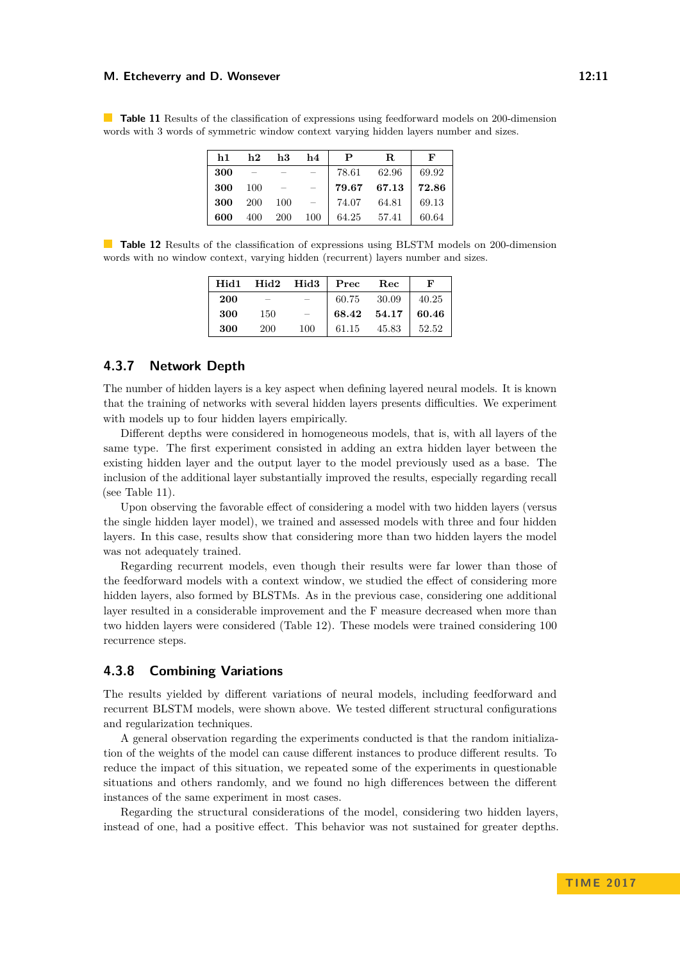#### **M. Etcheverry and D. Wonsever 12:11 M. Etcheverry 12:11**

<span id="page-10-0"></span>**Table 11** Results of the classification of expressions using feedforward models on 200-dimension words with 3 words of symmetric window context varying hidden layers number and sizes.

| h1 —           |       | $h2$ $h3$ $h4$ |                             | $\mathbf{P}$ | $\mathbf{R}$            | F           |
|----------------|-------|----------------|-----------------------------|--------------|-------------------------|-------------|
| 300            |       |                |                             |              | 78.61 62.96 69.92       |             |
| 300            | - 100 |                | $\alpha = 1, \ldots, n-1$ . |              | $79.67$ 67.13   $72.86$ |             |
| <b>300</b> 200 |       | $100 =$        |                             |              | 74.07 64.81 69.13       |             |
| 600 -          |       | 400 200 100    |                             | 64.25 57.41  |                         | $\pm 60.64$ |

<span id="page-10-1"></span>**Table 12** Results of the classification of expressions using BLSTM models on 200-dimension words with no window context, varying hidden (recurrent) layers number and sizes.

|     |            |                          | Hid1 Hid2 Hid3   Prec Rec                                                      |                           | $\mathbf{F}$ |
|-----|------------|--------------------------|--------------------------------------------------------------------------------|---------------------------|--------------|
| 200 |            |                          |                                                                                | $60.75$ $30.09$   $40.25$ |              |
| 300 | 150        | $\overline{\phantom{0}}$ |                                                                                | 68.42 54.17 60.46         |              |
| 300 | <b>200</b> | 100                      | $\begin{array}{ c c c c c c } \hline 61.15 & 45.83 & 52.52 \hline \end{array}$ |                           |              |

### **4.3.7 Network Depth**

The number of hidden layers is a key aspect when defining layered neural models. It is known that the training of networks with several hidden layers presents difficulties. We experiment with models up to four hidden layers empirically.

Different depths were considered in homogeneous models, that is, with all layers of the same type. The first experiment consisted in adding an extra hidden layer between the existing hidden layer and the output layer to the model previously used as a base. The inclusion of the additional layer substantially improved the results, especially regarding recall (see Table [11\)](#page-10-0).

Upon observing the favorable effect of considering a model with two hidden layers (versus the single hidden layer model), we trained and assessed models with three and four hidden layers. In this case, results show that considering more than two hidden layers the model was not adequately trained.

Regarding recurrent models, even though their results were far lower than those of the feedforward models with a context window, we studied the effect of considering more hidden layers, also formed by BLSTMs. As in the previous case, considering one additional layer resulted in a considerable improvement and the F measure decreased when more than two hidden layers were considered (Table [12\)](#page-10-1). These models were trained considering 100 recurrence steps.

### **4.3.8 Combining Variations**

The results yielded by different variations of neural models, including feedforward and recurrent BLSTM models, were shown above. We tested different structural configurations and regularization techniques.

A general observation regarding the experiments conducted is that the random initialization of the weights of the model can cause different instances to produce different results. To reduce the impact of this situation, we repeated some of the experiments in questionable situations and others randomly, and we found no high differences between the different instances of the same experiment in most cases.

Regarding the structural considerations of the model, considering two hidden layers, instead of one, had a positive effect. This behavior was not sustained for greater depths.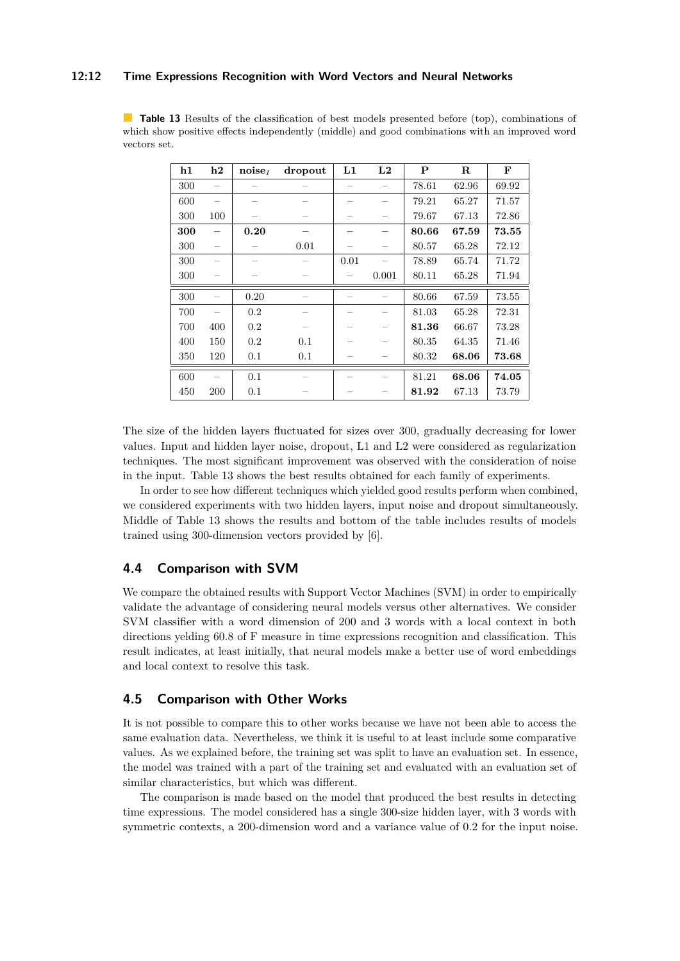### **12:12 Time Expressions Recognition with Word Vectors and Neural Networks**

<span id="page-11-0"></span>**Table 13** Results of the classification of best models presented before (top), combinations of which show positive effects independently (middle) and good combinations with an improved word vectors set.

| h1  | $\mathbf{h2}$ | $noise_I$ | dropout | L1   | L2    | P     | $\mathbf R$ | F     |
|-----|---------------|-----------|---------|------|-------|-------|-------------|-------|
| 300 |               |           |         |      |       | 78.61 | 62.96       | 69.92 |
| 600 |               |           |         |      |       | 79.21 | 65.27       | 71.57 |
| 300 | 100           |           |         |      |       | 79.67 | 67.13       | 72.86 |
| 300 |               | 0.20      |         |      |       | 80.66 | 67.59       | 73.55 |
| 300 |               |           | 0.01    |      |       | 80.57 | 65.28       | 72.12 |
| 300 |               |           |         | 0.01 |       | 78.89 | 65.74       | 71.72 |
| 300 |               |           |         |      | 0.001 | 80.11 | 65.28       | 71.94 |
| 300 |               | 0.20      |         |      |       | 80.66 | 67.59       | 73.55 |
| 700 |               | 0.2       |         |      |       | 81.03 | 65.28       | 72.31 |
| 700 | 400           | 0.2       |         |      |       | 81.36 | 66.67       | 73.28 |
| 400 | 150           | 0.2       | 0.1     |      |       | 80.35 | 64.35       | 71.46 |
| 350 | 120           | 0.1       | 0.1     |      |       | 80.32 | 68.06       | 73.68 |
| 600 |               | 0.1       |         |      |       | 81.21 | 68.06       | 74.05 |
| 450 | 200           | 0.1       |         |      |       | 81.92 | 67.13       | 73.79 |

The size of the hidden layers fluctuated for sizes over 300, gradually decreasing for lower values. Input and hidden layer noise, dropout, L1 and L2 were considered as regularization techniques. The most significant improvement was observed with the consideration of noise in the input. Table [13](#page-11-0) shows the best results obtained for each family of experiments.

In order to see how different techniques which yielded good results perform when combined, we considered experiments with two hidden layers, input noise and dropout simultaneously. Middle of Table [13](#page-11-0) shows the results and bottom of the table includes results of models trained using 300-dimension vectors provided by [\[6\]](#page-15-13).

# **4.4 Comparison with SVM**

We compare the obtained results with Support Vector Machines (SVM) in order to empirically validate the advantage of considering neural models versus other alternatives. We consider SVM classifier with a word dimension of 200 and 3 words with a local context in both directions yelding 60*.*8 of F measure in time expressions recognition and classification. This result indicates, at least initially, that neural models make a better use of word embeddings and local context to resolve this task.

# **4.5 Comparison with Other Works**

It is not possible to compare this to other works because we have not been able to access the same evaluation data. Nevertheless, we think it is useful to at least include some comparative values. As we explained before, the training set was split to have an evaluation set. In essence, the model was trained with a part of the training set and evaluated with an evaluation set of similar characteristics, but which was different.

The comparison is made based on the model that produced the best results in detecting time expressions. The model considered has a single 300-size hidden layer, with 3 words with symmetric contexts, a 200-dimension word and a variance value of 0*.*2 for the input noise.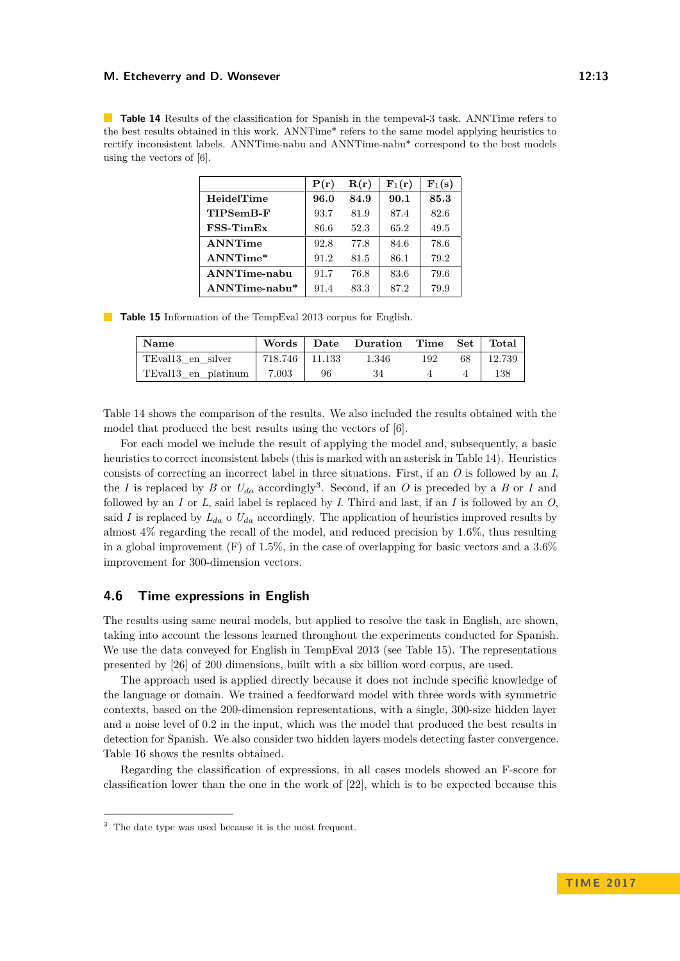#### **M. Etcheverry and D. Wonsever 12:13**

<span id="page-12-0"></span>**Table 14** Results of the classification for Spanish in the tempeval-3 task. ANNTime refers to the best results obtained in this work. ANNTime\* refers to the same model applying heuristics to rectify inconsistent labels. ANNTime-nabu and ANNTime-nabu\* correspond to the best models using the vectors of [\[6\]](#page-15-13).

|                     | P(r) | R(r) | ${\bf F}_1({\bf r})$ | $\mathbf{F}_1(\mathbf{s})$ |
|---------------------|------|------|----------------------|----------------------------|
| HeidelTime          | 96.0 | 84.9 | 90.1                 | 85.3                       |
| TIPSemB-F           | 93.7 | 81.9 | 87.4                 | 82.6                       |
| $FSS-TimEx$         | 86.6 | 52.3 | 65.2                 | 49.5                       |
| ANNTime             | 92.8 | 77.8 | 84.6                 | 78.6                       |
| ANNTime*            | 91.2 | 81.5 | 86.1                 | 79.2                       |
| <b>ANNTime-nabu</b> | 91.7 | 76.8 | 83.6                 | 79.6                       |
| $ANNTime-nabu*$     | 91.4 | 83.3 | 87.2                 | 79.9                       |

<span id="page-12-2"></span>**Table 15** Information of the TempEval 2013 corpus for English.

| Name                            | Words          |    | Date Duration Time Set Total |     |    |        |
|---------------------------------|----------------|----|------------------------------|-----|----|--------|
| TEval13 en silver               | 718.746 11.133 |    | 1.346                        | 192 | 68 | 12.739 |
| TEvall <sub>3</sub> en platinum | $\vert$ 7.003  | 96 | 34                           |     |    | 138    |

Table [14](#page-12-0) shows the comparison of the results. We also included the results obtained with the model that produced the best results using the vectors of [\[6\]](#page-15-13).

For each model we include the result of applying the model and, subsequently, a basic heuristics to correct inconsistent labels (this is marked with an asterisk in Table [14\)](#page-12-0). Heuristics consists of correcting an incorrect label in three situations. First, if an *O* is followed by an *I*, the *I* is replaced by *B* or  $U_{da}$  accordingly<sup>[3](#page-12-1)</sup>. Second, if an *O* is preceded by a *B* or *I* and followed by an *I* or *L*, said label is replaced by *I*. Third and last, if an *I* is followed by an *O*, said *I* is replaced by  $L_{da}$  o  $U_{da}$  accordingly. The application of heuristics improved results by almost 4% regarding the recall of the model, and reduced precision by 1*.*6%, thus resulting in a global improvement (F) of 1*.*5%, in the case of overlapping for basic vectors and a 3*.*6% improvement for 300-dimension vectors.

# **4.6 Time expressions in English**

The results using same neural models, but applied to resolve the task in English, are shown, taking into account the lessons learned throughout the experiments conducted for Spanish. We use the data conveyed for English in TempEval 2013 (see Table [15\)](#page-12-2). The representations presented by [\[26\]](#page-16-7) of 200 dimensions, built with a six billion word corpus, are used.

The approach used is applied directly because it does not include specific knowledge of the language or domain. We trained a feedforward model with three words with symmetric contexts, based on the 200-dimension representations, with a single, 300-size hidden layer and a noise level of 0*.*2 in the input, which was the model that produced the best results in detection for Spanish. We also consider two hidden layers models detecting faster convergence. Table [16](#page-13-0) shows the results obtained.

Regarding the classification of expressions, in all cases models showed an F-score for classification lower than the one in the work of [\[22\]](#page-16-6), which is to be expected because this

<span id="page-12-1"></span><sup>3</sup> The date type was used because it is the most frequent.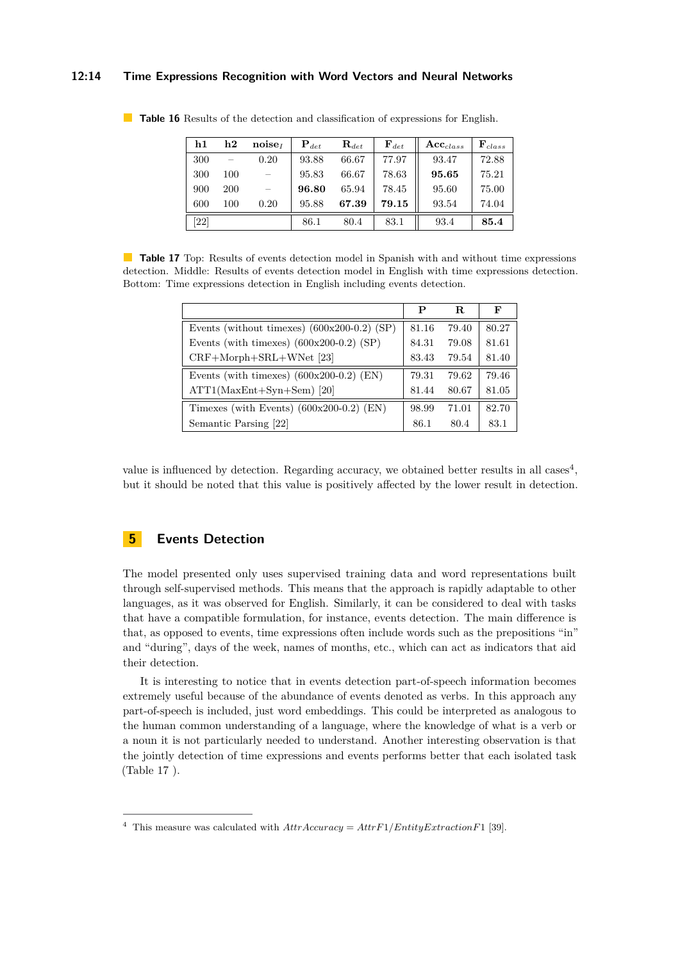### **12:14 Time Expressions Recognition with Word Vectors and Neural Networks**

| h1   | $\mathbf{h2}$ | noise <sub>t</sub> | ${\bf P}_{det}$ | $\mathbf{R}_{det}$ | $\mathbf{F}_{det}$ | $Acc_{class}$ | $\mathbf{F}_{class}$ |
|------|---------------|--------------------|-----------------|--------------------|--------------------|---------------|----------------------|
| 300  |               | 0.20               | 93.88           | 66.67              | 77.97              | 93.47         | 72.88                |
| 300  | 100           |                    | 95.83           | 66.67              | 78.63              | 95.65         | 75.21                |
| 900  | 200           |                    | 96.80           | 65.94              | 78.45              | 95.60         | 75.00                |
| 600  | 100           | 0.20               | 95.88           | 67.39              | 79.15              | 93.54         | 74.04                |
| [22] |               |                    | 86.1            | 80.4               | 83.1               | 93.4          | 85.4                 |

<span id="page-13-0"></span>**Table 16** Results of the detection and classification of expressions for English.

<span id="page-13-2"></span>**Table 17** Top: Results of events detection model in Spanish with and without time expressions detection. Middle: Results of events detection model in English with time expressions detection. Bottom: Time expressions detection in English including events detection.

|                                               | P     | R.    | F     |
|-----------------------------------------------|-------|-------|-------|
| Events (without timexes) $(600x200-0.2)$ (SP) | 81.16 | 79.40 | 80.27 |
| Events (with timexes) $(600x200-0.2)$ (SP)    | 84.31 | 79.08 | 81.61 |
| $CRF+Morph+SRL+WNet$ [23]                     | 83.43 | 79.54 | 81.40 |
| Events (with timexes) $(600x200-0.2)$ (EN)    | 79.31 | 79.62 | 79.46 |
| $ATT1(MaxEnt+Syn+Sem)$ [20]                   | 81.44 | 80.67 | 81.05 |
| Timexes (with Events) $(600x200-0.2)$ (EN)    | 98.99 | 71.01 | 82.70 |
| Semantic Parsing [22]                         | 86.1  | 80.4  | 83.1  |

value is influenced by detection. Regarding accuracy, we obtained better results in all cases<sup>[4](#page-13-1)</sup>, but it should be noted that this value is positively affected by the lower result in detection.

# **5 Events Detection**

The model presented only uses supervised training data and word representations built through self-supervised methods. This means that the approach is rapidly adaptable to other languages, as it was observed for English. Similarly, it can be considered to deal with tasks that have a compatible formulation, for instance, events detection. The main difference is that, as opposed to events, time expressions often include words such as the prepositions "in" and "during", days of the week, names of months, etc., which can act as indicators that aid their detection.

It is interesting to notice that in events detection part-of-speech information becomes extremely useful because of the abundance of events denoted as verbs. In this approach any part-of-speech is included, just word embeddings. This could be interpreted as analogous to the human common understanding of a language, where the knowledge of what is a verb or a noun it is not particularly needed to understand. Another interesting observation is that the jointly detection of time expressions and events performs better that each isolated task (Table [17](#page-13-2) ).

<span id="page-13-1"></span><sup>&</sup>lt;sup>4</sup> This measure was calculated with  $AttrAccuracy =AttrF1/EntityExtractionF1$  [\[39\]](#page-17-3).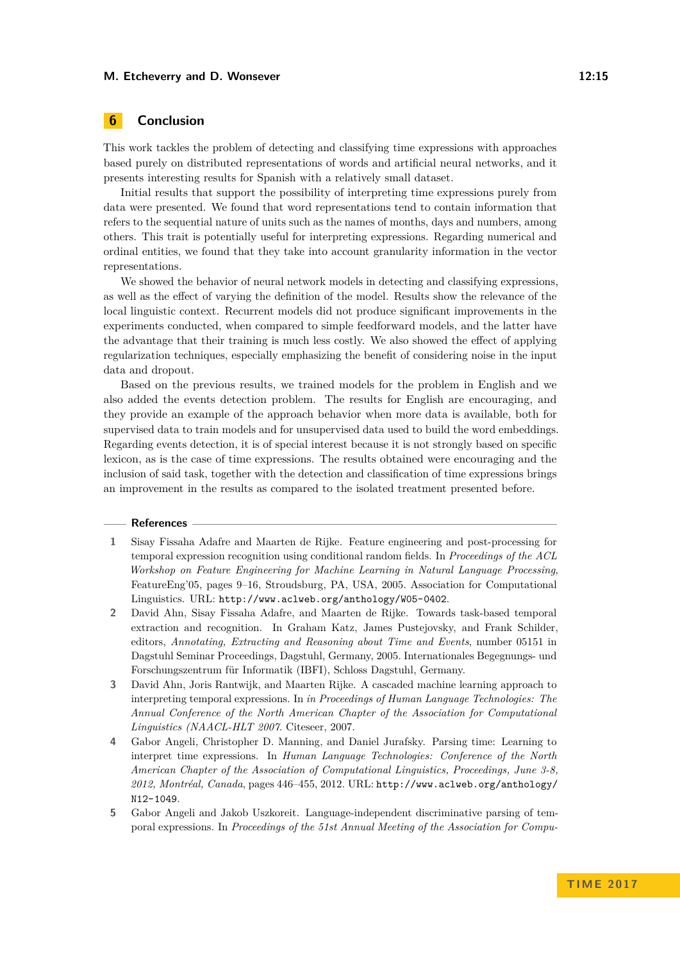#### **M. Etcheverry and D. Wonsever 12:15** and the state of the state of the state of the state of the state of the state of the state of the state of the state of the state of the state of the state of the state of the state o

# **6 Conclusion**

This work tackles the problem of detecting and classifying time expressions with approaches based purely on distributed representations of words and artificial neural networks, and it presents interesting results for Spanish with a relatively small dataset.

Initial results that support the possibility of interpreting time expressions purely from data were presented. We found that word representations tend to contain information that refers to the sequential nature of units such as the names of months, days and numbers, among others. This trait is potentially useful for interpreting expressions. Regarding numerical and ordinal entities, we found that they take into account granularity information in the vector representations.

We showed the behavior of neural network models in detecting and classifying expressions, as well as the effect of varying the definition of the model. Results show the relevance of the local linguistic context. Recurrent models did not produce significant improvements in the experiments conducted, when compared to simple feedforward models, and the latter have the advantage that their training is much less costly. We also showed the effect of applying regularization techniques, especially emphasizing the benefit of considering noise in the input data and dropout.

Based on the previous results, we trained models for the problem in English and we also added the events detection problem. The results for English are encouraging, and they provide an example of the approach behavior when more data is available, both for supervised data to train models and for unsupervised data used to build the word embeddings. Regarding events detection, it is of special interest because it is not strongly based on specific lexicon, as is the case of time expressions. The results obtained were encouraging and the inclusion of said task, together with the detection and classification of time expressions brings an improvement in the results as compared to the isolated treatment presented before.

#### **References**

- <span id="page-14-1"></span>**1** Sisay Fissaha Adafre and Maarten de Rijke. Feature engineering and post-processing for temporal expression recognition using conditional random fields. In *Proceedings of the ACL Workshop on Feature Engineering for Machine Learning in Natural Language Processing*, FeatureEng'05, pages 9–16, Stroudsburg, PA, USA, 2005. Association for Computational Linguistics. URL: <http://www.aclweb.org/anthology/W05-0402>.
- <span id="page-14-2"></span>**2** David Ahn, Sisay Fissaha Adafre, and Maarten de Rijke. Towards task-based temporal extraction and recognition. In Graham Katz, James Pustejovsky, and Frank Schilder, editors, *Annotating, Extracting and Reasoning about Time and Events*, number 05151 in Dagstuhl Seminar Proceedings, Dagstuhl, Germany, 2005. Internationales Begegnungs- und Forschungszentrum für Informatik (IBFI), Schloss Dagstuhl, Germany.
- <span id="page-14-0"></span>**3** David Ahn, Joris Rantwijk, and Maarten Rijke. A cascaded machine learning approach to interpreting temporal expressions. In *in Proceedings of Human Language Technologies: The Annual Conference of the North American Chapter of the Association for Computational Linguistics (NAACL-HLT 2007*. Citeseer, 2007.
- <span id="page-14-3"></span>**4** Gabor Angeli, Christopher D. Manning, and Daniel Jurafsky. Parsing time: Learning to interpret time expressions. In *Human Language Technologies: Conference of the North American Chapter of the Association of Computational Linguistics, Proceedings, June 3-8, 2012, Montréal, Canada*, pages 446–455, 2012. URL: [http://www.aclweb.org/anthology/](http://www.aclweb.org/anthology/N12-1049) [N12-1049](http://www.aclweb.org/anthology/N12-1049).
- <span id="page-14-4"></span>**5** Gabor Angeli and Jakob Uszkoreit. Language-independent discriminative parsing of temporal expressions. In *Proceedings of the 51st Annual Meeting of the Association for Compu-*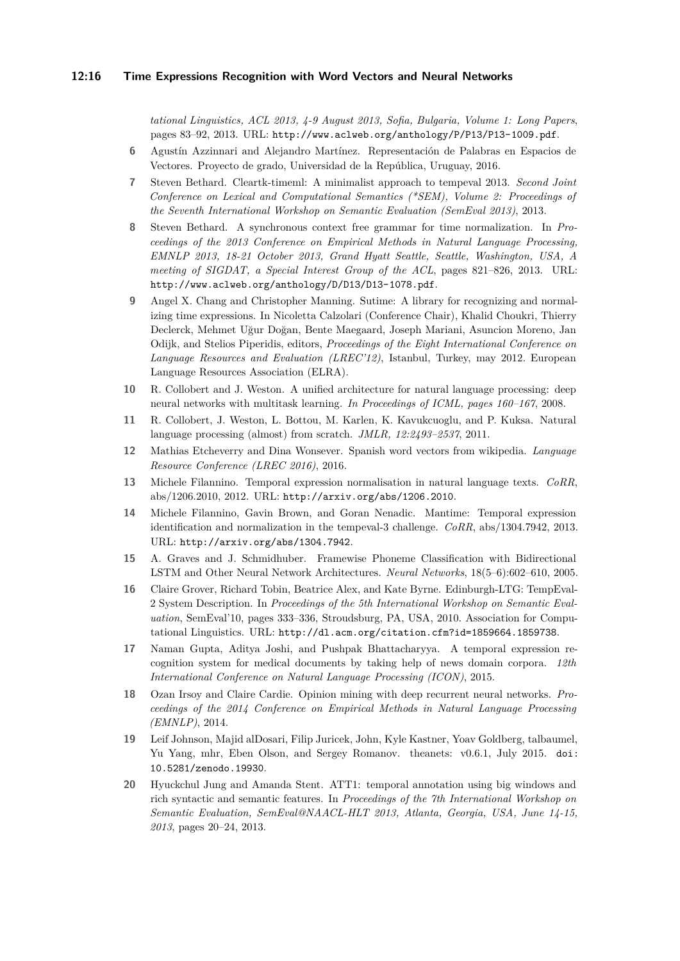#### **12:16 Time Expressions Recognition with Word Vectors and Neural Networks**

*tational Linguistics, ACL 2013, 4-9 August 2013, Sofia, Bulgaria, Volume 1: Long Papers*, pages 83–92, 2013. URL: <http://www.aclweb.org/anthology/P/P13/P13-1009.pdf>.

- <span id="page-15-13"></span>**6** Agustín Azzinnari and Alejandro Martínez. Representación de Palabras en Espacios de Vectores. Proyecto de grado, Universidad de la República, Uruguay, 2016.
- <span id="page-15-5"></span>**7** Steven Bethard. Cleartk-timeml: A minimalist approach to tempeval 2013. *Second Joint Conference on Lexical and Computational Semantics (\*SEM), Volume 2: Proceedings of the Seventh International Workshop on Semantic Evaluation (SemEval 2013)*, 2013.
- <span id="page-15-3"></span>**8** Steven Bethard. A synchronous context free grammar for time normalization. In *Proceedings of the 2013 Conference on Empirical Methods in Natural Language Processing, EMNLP 2013, 18-21 October 2013, Grand Hyatt Seattle, Seattle, Washington, USA, A meeting of SIGDAT, a Special Interest Group of the ACL*, pages 821–826, 2013. URL: <http://www.aclweb.org/anthology/D/D13/D13-1078.pdf>.
- <span id="page-15-0"></span>**9** Angel X. Chang and Christopher Manning. Sutime: A library for recognizing and normalizing time expressions. In Nicoletta Calzolari (Conference Chair), Khalid Choukri, Thierry Declerck, Mehmet Uğur Doğan, Bente Maegaard, Joseph Mariani, Asuncion Moreno, Jan Odijk, and Stelios Piperidis, editors, *Proceedings of the Eight International Conference on Language Resources and Evaluation (LREC'12)*, Istanbul, Turkey, may 2012. European Language Resources Association (ELRA).
- <span id="page-15-6"></span>**10** R. Collobert and J. Weston. A unified architecture for natural language processing: deep neural networks with multitask learning. *In Proceedings of ICML, pages 160–167*, 2008.
- <span id="page-15-7"></span>**11** R. Collobert, J. Weston, L. Bottou, M. Karlen, K. Kavukcuoglu, and P. Kuksa. Natural language processing (almost) from scratch. *JMLR, 12:2493–2537*, 2011.
- <span id="page-15-10"></span>**12** Mathias Etcheverry and Dina Wonsever. Spanish word vectors from wikipedia. *Language Resource Conference (LREC 2016)*, 2016.
- <span id="page-15-2"></span>**13** Michele Filannino. Temporal expression normalisation in natural language texts. *CoRR*, abs/1206.2010, 2012. URL: <http://arxiv.org/abs/1206.2010>.
- <span id="page-15-4"></span>**14** Michele Filannino, Gavin Brown, and Goran Nenadic. Mantime: Temporal expression identification and normalization in the tempeval-3 challenge. *CoRR*, abs/1304.7942, 2013. URL: <http://arxiv.org/abs/1304.7942>.
- <span id="page-15-12"></span>**15** A. Graves and J. Schmidhuber. Framewise Phoneme Classification with Bidirectional LSTM and Other Neural Network Architectures. *Neural Networks*, 18(5–6):602–610, 2005.
- <span id="page-15-1"></span>**16** Claire Grover, Richard Tobin, Beatrice Alex, and Kate Byrne. Edinburgh-LTG: TempEval-2 System Description. In *Proceedings of the 5th International Workshop on Semantic Evaluation*, SemEval'10, pages 333–336, Stroudsburg, PA, USA, 2010. Association for Computational Linguistics. URL: <http://dl.acm.org/citation.cfm?id=1859664.1859738>.
- <span id="page-15-9"></span>**17** Naman Gupta, Aditya Joshi, and Pushpak Bhattacharyya. A temporal expression recognition system for medical documents by taking help of news domain corpora. *12th International Conference on Natural Language Processing (ICON)*, 2015.
- <span id="page-15-8"></span>**18** Ozan Irsoy and Claire Cardie. Opinion mining with deep recurrent neural networks. *Proceedings of the 2014 Conference on Empirical Methods in Natural Language Processing (EMNLP)*, 2014.
- <span id="page-15-11"></span>**19** Leif Johnson, Majid alDosari, Filip Juricek, John, Kyle Kastner, Yoav Goldberg, talbaumel, Yu Yang, mhr, Eben Olson, and Sergey Romanov. theanets: v0.6.1, July 2015. [doi:](http://dx.doi.org/10.5281/zenodo.19930) [10.5281/zenodo.19930](http://dx.doi.org/10.5281/zenodo.19930).
- <span id="page-15-14"></span>**20** Hyuckchul Jung and Amanda Stent. ATT1: temporal annotation using big windows and rich syntactic and semantic features. In *Proceedings of the 7th International Workshop on Semantic Evaluation, SemEval@NAACL-HLT 2013, Atlanta, Georgia, USA, June 14-15, 2013*, pages 20–24, 2013.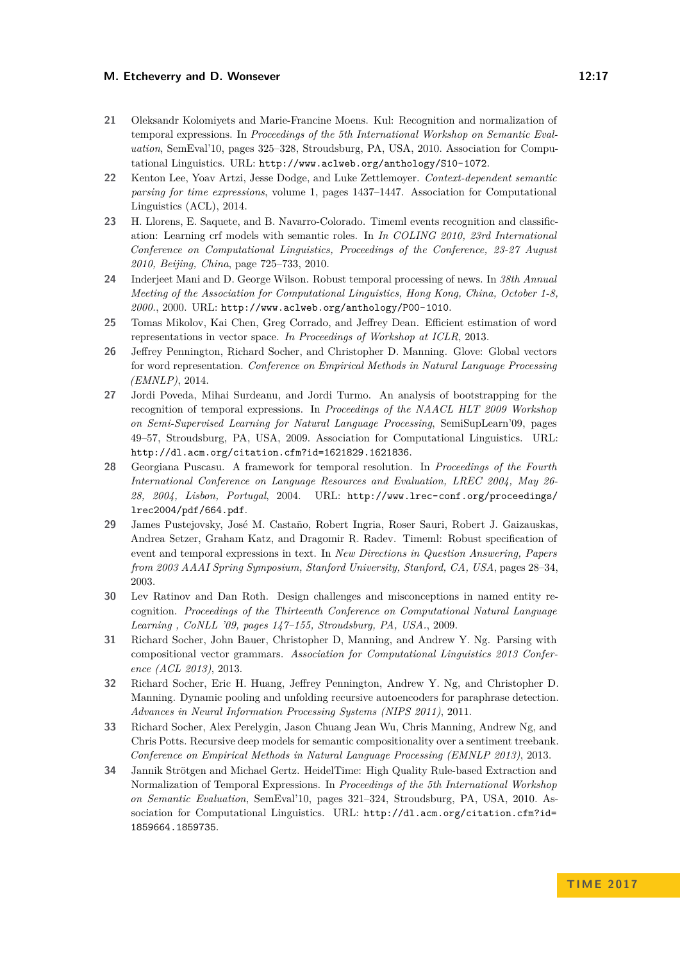#### **M. Etcheverry and D. Wonsever 12:17 12:17**

- <span id="page-16-5"></span>**21** Oleksandr Kolomiyets and Marie-Francine Moens. Kul: Recognition and normalization of temporal expressions. In *Proceedings of the 5th International Workshop on Semantic Evaluation*, SemEval'10, pages 325–328, Stroudsburg, PA, USA, 2010. Association for Computational Linguistics. URL: <http://www.aclweb.org/anthology/S10-1072>.
- <span id="page-16-6"></span>**22** Kenton Lee, Yoav Artzi, Jesse Dodge, and Luke Zettlemoyer. *Context-dependent semantic parsing for time expressions*, volume 1, pages 1437–1447. Association for Computational Linguistics (ACL), 2014.
- <span id="page-16-13"></span>**23** H. Llorens, E. Saquete, and B. Navarro-Colorado. Timeml events recognition and classification: Learning crf models with semantic roles. In *In COLING 2010, 23rd International Conference on Computational Linguistics, Proceedings of the Conference, 23-27 August 2010, Beijing, China*, page 725–733, 2010.
- <span id="page-16-1"></span>**24** Inderjeet Mani and D. George Wilson. Robust temporal processing of news. In *38th Annual Meeting of the Association for Computational Linguistics, Hong Kong, China, October 1-8, 2000.*, 2000. URL: <http://www.aclweb.org/anthology/P00-1010>.
- <span id="page-16-0"></span>**25** Tomas Mikolov, Kai Chen, Greg Corrado, and Jeffrey Dean. Efficient estimation of word representations in vector space. *In Proceedings of Workshop at ICLR*, 2013.
- <span id="page-16-7"></span>**26** Jeffrey Pennington, Richard Socher, and Christopher D. Manning. Glove: Global vectors for word representation. *Conference on Empirical Methods in Natural Language Processing (EMNLP)*, 2014.
- <span id="page-16-4"></span>**27** Jordi Poveda, Mihai Surdeanu, and Jordi Turmo. An analysis of bootstrapping for the recognition of temporal expressions. In *Proceedings of the NAACL HLT 2009 Workshop on Semi-Supervised Learning for Natural Language Processing*, SemiSupLearn'09, pages 49–57, Stroudsburg, PA, USA, 2009. Association for Computational Linguistics. URL: <http://dl.acm.org/citation.cfm?id=1621829.1621836>.
- <span id="page-16-2"></span>**28** Georgiana Puscasu. A framework for temporal resolution. In *Proceedings of the Fourth International Conference on Language Resources and Evaluation, LREC 2004, May 26- 28, 2004, Lisbon, Portugal*, 2004. URL: [http://www.lrec-conf.org/proceedings/](http://www.lrec-conf.org/proceedings/lrec2004/pdf/664.pdf) [lrec2004/pdf/664.pdf](http://www.lrec-conf.org/proceedings/lrec2004/pdf/664.pdf).
- <span id="page-16-11"></span>**29** James Pustejovsky, José M. Castaño, Robert Ingria, Roser Sauri, Robert J. Gaizauskas, Andrea Setzer, Graham Katz, and Dragomir R. Radev. Timeml: Robust specification of event and temporal expressions in text. In *New Directions in Question Answering, Papers from 2003 AAAI Spring Symposium, Stanford University, Stanford, CA, USA*, pages 28–34, 2003.
- <span id="page-16-12"></span>**30** Lev Ratinov and Dan Roth. Design challenges and misconceptions in named entity recognition. *Proceedings of the Thirteenth Conference on Computational Natural Language Learning , CoNLL '09, pages 147–155, Stroudsburg, PA, USA.*, 2009.
- <span id="page-16-9"></span>**31** Richard Socher, John Bauer, Christopher D, Manning, and Andrew Y. Ng. Parsing with compositional vector grammars. *Association for Computational Linguistics 2013 Conference (ACL 2013)*, 2013.
- <span id="page-16-8"></span>**32** Richard Socher, Eric H. Huang, Jeffrey Pennington, Andrew Y. Ng, and Christopher D. Manning. Dynamic pooling and unfolding recursive autoencoders for paraphrase detection. *Advances in Neural Information Processing Systems (NIPS 2011)*, 2011.
- <span id="page-16-10"></span>**33** Richard Socher, Alex Perelygin, Jason Chuang Jean Wu, Chris Manning, Andrew Ng, and Chris Potts. Recursive deep models for semantic compositionality over a sentiment treebank. *Conference on Empirical Methods in Natural Language Processing (EMNLP 2013)*, 2013.
- <span id="page-16-3"></span>**34** Jannik Strötgen and Michael Gertz. HeidelTime: High Quality Rule-based Extraction and Normalization of Temporal Expressions. In *Proceedings of the 5th International Workshop on Semantic Evaluation*, SemEval'10, pages 321–324, Stroudsburg, PA, USA, 2010. Association for Computational Linguistics. URL: [http://dl.acm.org/citation.cfm?id=](http://dl.acm.org/citation.cfm?id=1859664.1859735) [1859664.1859735](http://dl.acm.org/citation.cfm?id=1859664.1859735).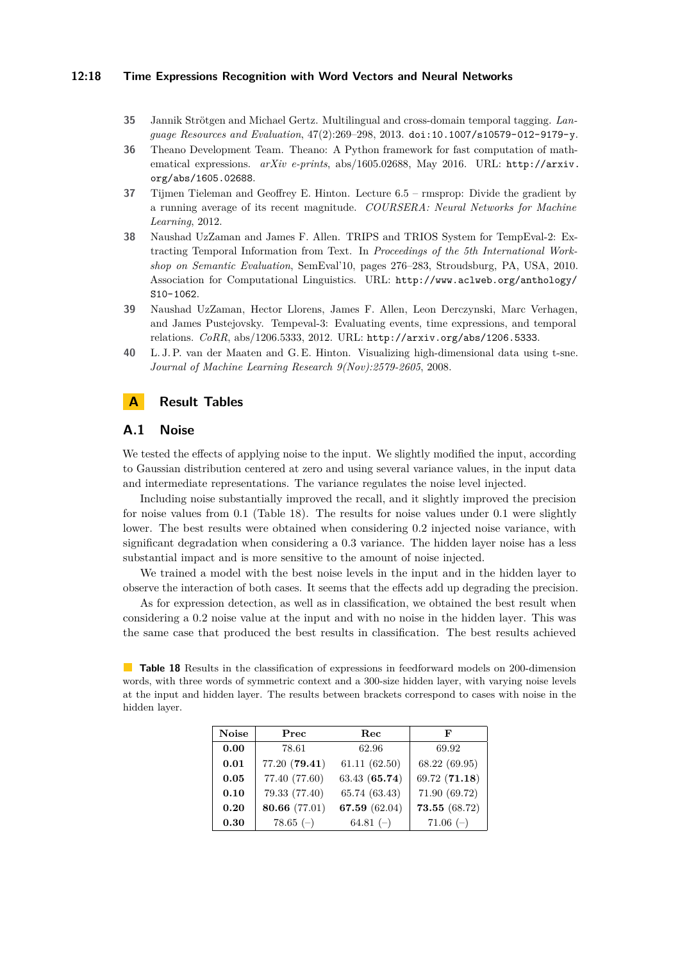#### **12:18 Time Expressions Recognition with Word Vectors and Neural Networks**

- <span id="page-17-0"></span>**35** Jannik Strötgen and Michael Gertz. Multilingual and cross-domain temporal tagging. *Language Resources and Evaluation*, 47(2):269–298, 2013. [doi:10.1007/s10579-012-9179-y](http://dx.doi.org/10.1007/s10579-012-9179-y).
- <span id="page-17-5"></span>**36** Theano Development Team. Theano: A Python framework for fast computation of mathematical expressions. *arXiv e-prints*, abs/1605.02688, May 2016. URL: [http://arxiv.](http://arxiv.org/abs/1605.02688) [org/abs/1605.02688](http://arxiv.org/abs/1605.02688).
- <span id="page-17-4"></span>**37** Tijmen Tieleman and Geoffrey E. Hinton. Lecture 6.5 – rmsprop: Divide the gradient by a running average of its recent magnitude. *COURSERA: Neural Networks for Machine Learning*, 2012.
- <span id="page-17-1"></span>**38** Naushad UzZaman and James F. Allen. TRIPS and TRIOS System for TempEval-2: Extracting Temporal Information from Text. In *Proceedings of the 5th International Workshop on Semantic Evaluation*, SemEval'10, pages 276–283, Stroudsburg, PA, USA, 2010. Association for Computational Linguistics. URL: [http://www.aclweb.org/anthology/](http://www.aclweb.org/anthology/S10-1062) [S10-1062](http://www.aclweb.org/anthology/S10-1062).
- <span id="page-17-3"></span>**39** Naushad UzZaman, Hector Llorens, James F. Allen, Leon Derczynski, Marc Verhagen, and James Pustejovsky. Tempeval-3: Evaluating events, time expressions, and temporal relations. *CoRR*, abs/1206.5333, 2012. URL: <http://arxiv.org/abs/1206.5333>.
- <span id="page-17-2"></span>**40** L. J. P. van der Maaten and G. E. Hinton. Visualizing high-dimensional data using t-sne. *Journal of Machine Learning Research 9(Nov):2579-2605*, 2008.

# <span id="page-17-6"></span>**A Result Tables**

### **A.1 Noise**

We tested the effects of applying noise to the input. We slightly modified the input, according to Gaussian distribution centered at zero and using several variance values, in the input data and intermediate representations. The variance regulates the noise level injected.

Including noise substantially improved the recall, and it slightly improved the precision for noise values from 0*.*1 (Table [18\)](#page-17-7). The results for noise values under 0*.*1 were slightly lower. The best results were obtained when considering 0*.*2 injected noise variance, with significant degradation when considering a 0*.*3 variance. The hidden layer noise has a less substantial impact and is more sensitive to the amount of noise injected.

We trained a model with the best noise levels in the input and in the hidden layer to observe the interaction of both cases. It seems that the effects add up degrading the precision.

As for expression detection, as well as in classification, we obtained the best result when considering a 0*.*2 noise value at the input and with no noise in the hidden layer. This was the same case that produced the best results in classification. The best results achieved

<span id="page-17-7"></span>**Table 18** Results in the classification of expressions in feedforward models on 200-dimension words, with three words of symmetric context and a 300-size hidden layer, with varying noise levels at the input and hidden layer. The results between brackets correspond to cases with noise in the hidden layer.

| <b>Noise</b> | Prec          | Rec           | F             |
|--------------|---------------|---------------|---------------|
| 0.00         | 78.61         | 62.96         | 69.92         |
| 0.01         | 77.20 (79.41) | 61.11(62.50)  | 68.22 (69.95) |
| 0.05         | 77.40 (77.60) | 63.43 (65.74) | 69.72 (71.18) |
| 0.10         | 79.33 (77.40) | 65.74 (63.43) | 71.90 (69.72) |
| 0.20         | 80.66 (77.01) | 67.59 (62.04) | 73.55 (68.72) |
| 0.30         | $78.65$ (-)   | 64.81 $(-)$   | $71.06$ (-)   |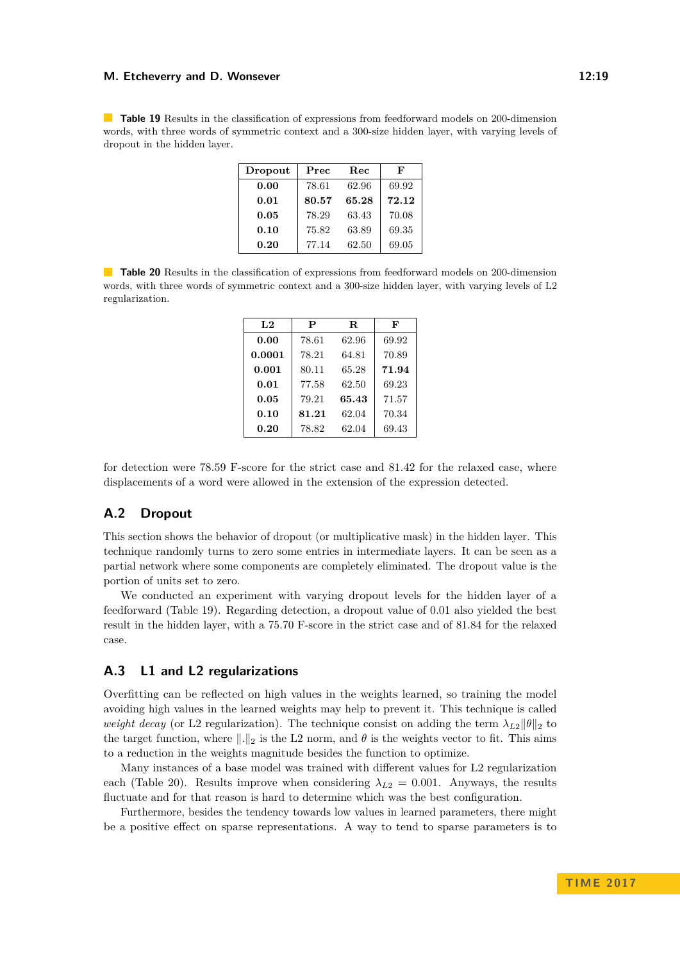#### **M. Etcheverry and D. Wonsever 12:19 M. Etcheverry and D. Wonsever**

<span id="page-18-0"></span>**Table 19** Results in the classification of expressions from feedforward models on 200-dimension words, with three words of symmetric context and a 300-size hidden layer, with varying levels of dropout in the hidden layer.

| Dropout | Prec  | Rec   | F     |
|---------|-------|-------|-------|
| 0.00    | 78.61 | 62.96 | 69.92 |
| 0.01    | 80.57 | 65.28 | 72.12 |
| 0.05    | 78.29 | 63.43 | 70.08 |
| 0.10    | 75.82 | 63.89 | 69.35 |
| 0.20    | 77.14 | 62.50 | 69.05 |

<span id="page-18-1"></span>**Table 20** Results in the classification of expressions from feedforward models on 200-dimension words, with three words of symmetric context and a 300-size hidden layer, with varying levels of L2 regularization.

| L2     | P     | R.    | F     |
|--------|-------|-------|-------|
| 0.00   | 78.61 | 62.96 | 69.92 |
| 0.0001 | 78.21 | 64.81 | 70.89 |
| 0.001  | 80.11 | 65.28 | 71.94 |
| 0.01   | 77.58 | 62.50 | 69.23 |
| 0.05   | 79.21 | 65.43 | 71.57 |
| 0.10   | 81.21 | 62.04 | 70.34 |
| 0.20   | 78.82 | 62.04 | 69.43 |

for detection were 78*.*59 F-score for the strict case and 81*.*42 for the relaxed case, where displacements of a word were allowed in the extension of the expression detected.

# **A.2 Dropout**

This section shows the behavior of dropout (or multiplicative mask) in the hidden layer. This technique randomly turns to zero some entries in intermediate layers. It can be seen as a partial network where some components are completely eliminated. The dropout value is the portion of units set to zero.

We conducted an experiment with varying dropout levels for the hidden layer of a feedforward (Table [19\)](#page-18-0). Regarding detection, a dropout value of 0*.*01 also yielded the best result in the hidden layer, with a 75*.*70 F-score in the strict case and of 81*.*84 for the relaxed case.

## **A.3 L1 and L2 regularizations**

Overfitting can be reflected on high values in the weights learned, so training the model avoiding high values in the learned weights may help to prevent it. This technique is called *weight decay* (or L2 regularization). The technique consist on adding the term  $\lambda_{L2}$  $||\theta||_2$  to the target function, where  $\|\cdot\|_2$  is the L2 norm, and  $\theta$  is the weights vector to fit. This aims to a reduction in the weights magnitude besides the function to optimize.

Many instances of a base model was trained with different values for L2 regularization each (Table [20\)](#page-18-1). Results improve when considering  $\lambda_{L2} = 0.001$ . Anyways, the results fluctuate and for that reason is hard to determine which was the best configuration.

Furthermore, besides the tendency towards low values in learned parameters, there might be a positive effect on sparse representations. A way to tend to sparse parameters is to